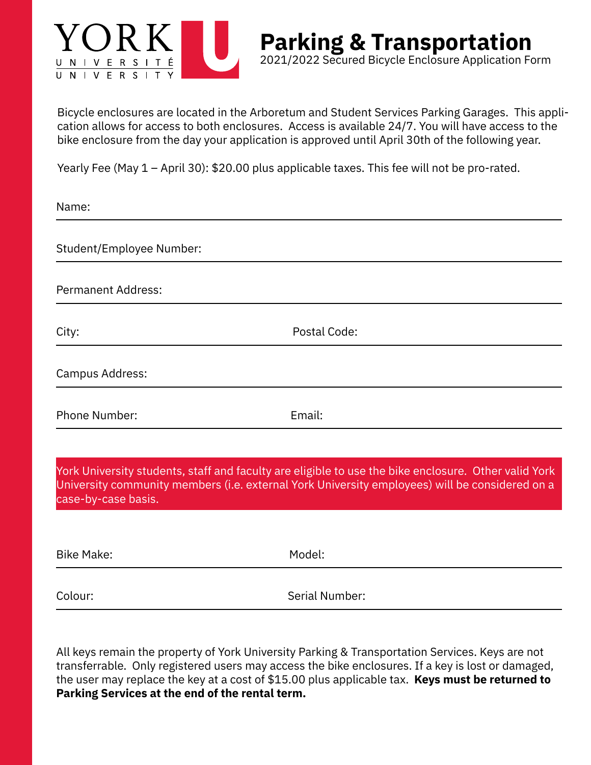

Bicycle enclosures are located in the Arboretum and Student Services Parking Garages. This application allows for access to both enclosures. Access is available 24/7. You will have access to the bike enclosure from the day your application is approved until April 30th of the following year.

**Parking & Transportation**

2021/2022 Secured Bicycle Enclosure Application Form

Yearly Fee (May 1 – April 30): \$20.00 plus applicable taxes. This fee will not be pro-rated.

Name:

Student/Employee Number:

Permanent Address:

City: Postal Code:

-

Campus Address:

Phone Number: Email:

York University students, staff and faculty are eligible to use the bike enclosure. Other valid York University community members (i.e. external York University employees) will be considered on a case-by-case basis.

| <b>Bike Make:</b> | Model:         |
|-------------------|----------------|
| Colour:           | Serial Number: |

All keys remain the property of York University Parking & Transportation Services. Keys are not transferrable. Only registered users may access the bike enclosures. If a key is lost or damaged, the user may replace the key at a cost of \$15.00 plus applicable tax. **Keys must be returned to Parking Services at the end of the rental term.**